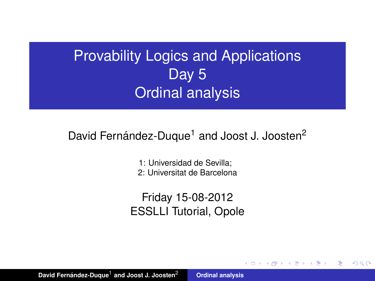# Provability Logics and Applications Day 5 Ordinal analysis

## David Fernández-Duque<sup>1</sup> and Joost J. Joosten<sup>2</sup>

1: Universidad de Sevilla; 2: Universitat de Barcelona

Friday 15-08-2012 ESSLLI Tutorial, Opole

**K ロ ト K 伺 ト K ヨ ト** 

<span id="page-0-0"></span>重  $2Q$ 

David Fernández-Duque<sup>1</sup> and Joost J. Joosten<sup>2</sup> **[Ordinal analysis](#page-28-0)**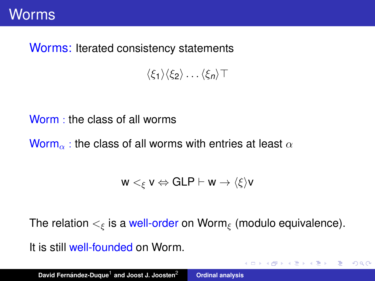#### Worms: Iterated consistency statements

 $\langle \xi_1 \rangle \langle \xi_2 \rangle \dots \langle \xi_n \rangle$ T

Worm : the class of all worms

Worm<sub>α</sub>: the class of all worms with entries at least  $\alpha$ 

 $w <_{\epsilon} v \Leftrightarrow$  GLP  $\vdash w \rightarrow \langle \xi \rangle v$ 

The relation  $\lt_{\epsilon}$  is a well-order on Worm<sub> $\epsilon$ </sub> (modulo equivalence).

K ロ ▶ K 御 ▶ K 重 ▶ K 重 ▶ 三重 → 約 Q @

It is still well-founded on Worm.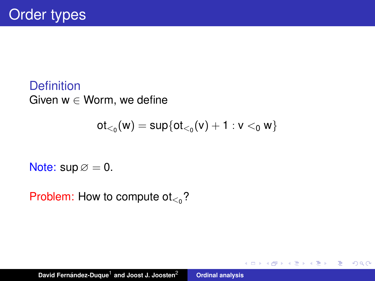**Definition** Given  $w \in W$ orm, we define

$$
ot_{<_0}(w) = sup\{ot_{<_0}(v) + 1 : v <_0 w\}
$$

K ロ ▶ K 御 ▶ K 唐 ▶ K 唐 ▶

重

 $2Q$ 

Note:  $\text{sup} \varnothing = 0$ .

Problem: How to compute ot $_{\leq_0}$ ?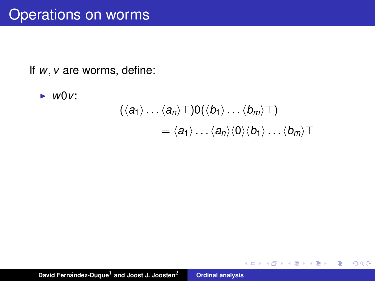If *w*, *v* are worms, define:

► W0V:  
\n
$$
(\langle a_1 \rangle ... \langle a_n \rangle \top) 0 (\langle b_1 \rangle ... \langle b_m \rangle \top)
$$
\n
$$
= \langle a_1 \rangle ... \langle a_n \rangle \langle 0 \rangle \langle b_1 \rangle ... \langle b_m \rangle \top
$$

イロメ イ団メ イヨメ イヨメー

 $E = \Omega Q$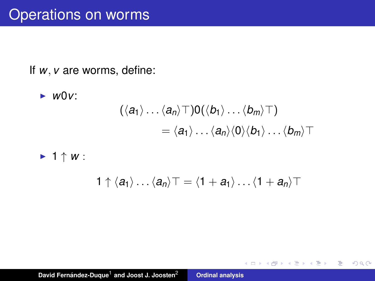If *w*, *v* are worms, define:

► *W0V*:  
\n
$$
(\langle a_1 \rangle ... \langle a_n \rangle \top) 0 (\langle b_1 \rangle ... \langle b_m \rangle \top)
$$
\n
$$
= \langle a_1 \rangle ... \langle a_n \rangle \langle 0 \rangle \langle b_1 \rangle ... \langle b_m \rangle \top
$$
\n> 1  $\uparrow$  W :

$$
1\uparrow \langle a_1\rangle \ldots \langle a_n\rangle \top = \langle 1+a_1\rangle \ldots \langle 1+a_n\rangle \top
$$

K ロ ▶ K 御 ▶ K 重 ▶ K 重 ▶ 三重 → 約 Q @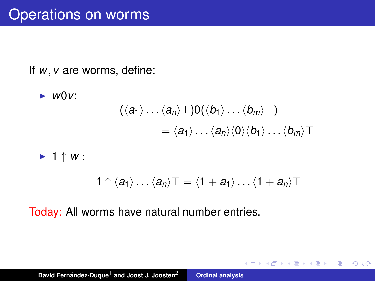If *w*, *v* are worms, define:

► *W0V*:  
\n
$$
(\langle a_1 \rangle \dots \langle a_n \rangle \top) 0 (\langle b_1 \rangle \dots \langle b_m \rangle \top)
$$
\n
$$
= \langle a_1 \rangle \dots \langle a_n \rangle \langle 0 \rangle \langle b_1 \rangle \dots \langle b_m \rangle \top
$$
\n>▶ 1 † *W*:  
\n
$$
1 \uparrow \langle a_1 \rangle \dots \langle a_n \rangle \top = \langle 1 + a_1 \rangle \dots \langle 1 + a_n \rangle \top
$$

K ロ ▶ K 御 ▶ K 重 ▶ K 重 ▶ 三重 → 約 Q @

Today: All worms have natural number entries.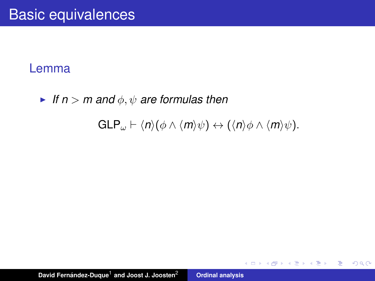If  $n > m$  and  $\phi, \psi$  are formulas then

 $GLP_{\omega} \vdash \langle n \rangle (\phi \wedge \langle m \rangle \psi) \leftrightarrow (\langle n \rangle \phi \wedge \langle m \rangle \psi).$ 

K ロ ▶ K 御 ▶ K 重 ▶ K 重 ▶ 三重 → 約 Q @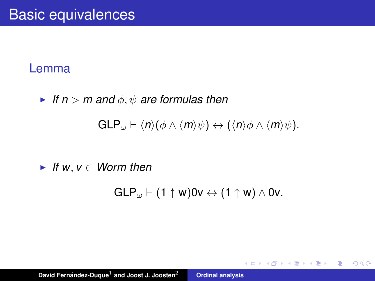If  $n > m$  and  $\phi, \psi$  are formulas then

 $GLP_{\omega} \vdash \langle n \rangle (\phi \wedge \langle m \rangle \psi) \leftrightarrow (\langle n \rangle \phi \wedge \langle m \rangle \psi).$ 

 $\blacktriangleright$  *If w*,  $v \in$  *Worm then* 

 $GLP_{\omega} \vdash (1 \uparrow w)0v \leftrightarrow (1 \uparrow w) \wedge 0v.$ 

K ロ ▶ K 御 ▶ K 重 ▶ K 重 ▶ 三重 → 約 Q @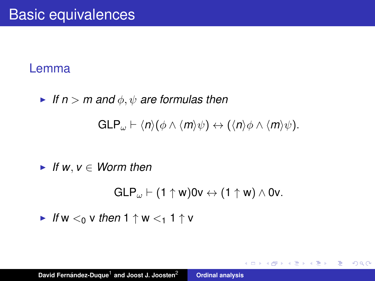If  $n > m$  and  $\phi, \psi$  are formulas then

 $GLP_{\omega} \vdash \langle n \rangle (\phi \wedge \langle m \rangle \psi) \leftrightarrow (\langle n \rangle \phi \wedge \langle m \rangle \psi).$ 

 $\blacktriangleright$  *If w*,  $v \in$  *Worm then* 

 $GLP_{\omega} \vdash (1 \uparrow w)0v \leftrightarrow (1 \uparrow w) \wedge 0v.$ 

K ロ ▶ K 御 ▶ K 重 ▶ K 重 ▶ 三重 → 約 Q @

If  $W \leq_0 V$  *then*  $1 \uparrow W \leq_1 1 \uparrow V$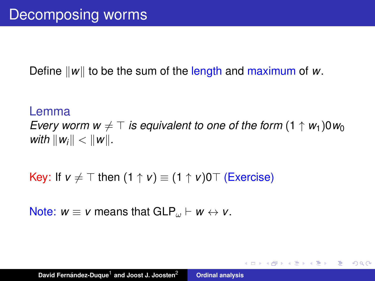Define  $\|w\|$  to be the sum of the length and maximum of *w*.

Lemma *Every worm w*  $\neq$  *T is equivalent to one of the form* (1  $\uparrow$  *w*<sub>1</sub>)0*w*<sub>0</sub> *with*  $\|w_i\| < \|w\|$ .

K ロ ▶ K 御 ▶ K 重 ▶ K 重 ▶ 三重 → 約 Q @

## Key: If  $v \neq \top$  then  $(1 \uparrow v) \equiv (1 \uparrow v)0 \top$  (Exercise)

Note:  $w \equiv v$  means that  $GLP_{\omega} \vdash w \leftrightarrow v$ .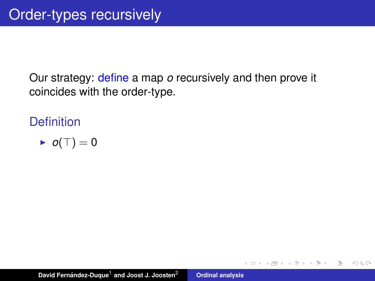Our strategy: define a map *o* recursively and then prove it coincides with the order-type.

(ロトス個) (運) (運)

 $299$ 

重

**Definition** 

$$
\blacktriangleright \ o(\top) = 0
$$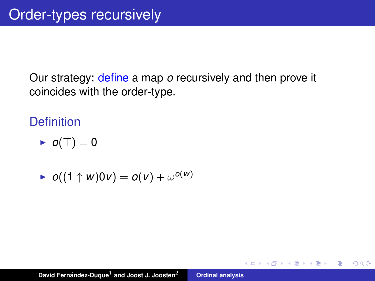Our strategy: define a map *o* recursively and then prove it coincides with the order-type.

## **Definition**

$$
\blacktriangleright \ o(\top) = 0
$$

$$
\blacktriangleright \ o((1 \uparrow w)0v) = o(v) + \omega^{o(w)}
$$

(ロトス個) (運) (運)

 $299$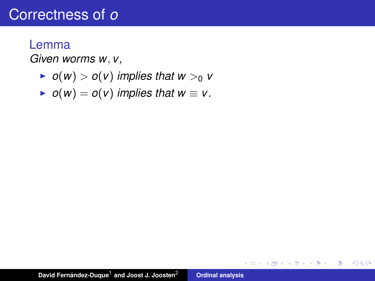#### Lemma

*Given worms w*, *v,*

- $\triangleright$  *o*(*w*)  $>$  *o*(*v*) *implies that w*  $>$ <sub>0</sub> *v*
- $\triangleright$  *o*(*w*) = *o*(*v*) *implies that w*  $\equiv$  *v*.

イロメ イ部メ イヨメ イヨメー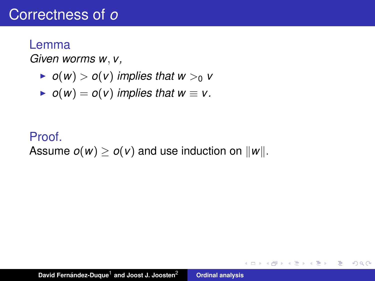#### Lemma

*Given worms w*, *v,*

- $\triangleright$  *o*(*w*)  $>$  *o*(*v*) *implies that w*  $>$ <sub>0</sub> *v*
- $\triangleright$  *o*(*w*) = *o*(*v*) *implies that w*  $\equiv$  *v*.

## Proof. Assume  $o(w) \ge o(v)$  and use induction on  $||w||$ .

イロメ イ部メ イヨメ イヨメー

重し  $2990$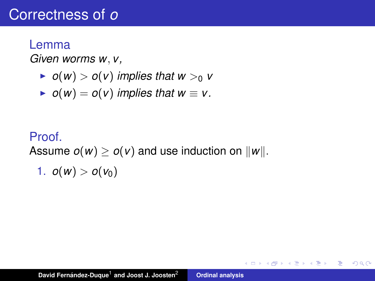#### Lemma

*Given worms w*, *v,*

- $\triangleright$  *o*(*w*)  $>$  *o*(*v*) *implies that w*  $>$ <sub>0</sub> *v*
- $\triangleright$  *o*(*w*) = *o*(*v*) *implies that w*  $\equiv$  *v*.

## Proof. Assume  $o(w) \ge o(v)$  and use induction on  $||w||$ .

$$
1. \ o(w) > o(v_0)
$$

イロメ イ部メ イヨメ イヨメー

重し  $2990$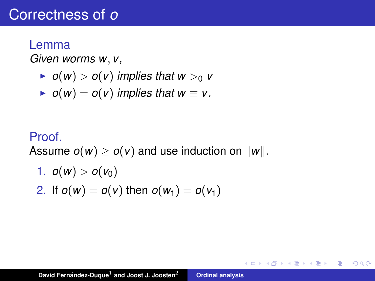#### Lemma

*Given worms w*, *v,*

- $\triangleright$  *o*(*w*)  $>$  *o*(*v*) *implies that w*  $>$ <sub>0</sub> *v*
- $\triangleright$  *o*(*w*) = *o*(*v*) *implies that w*  $\equiv$  *v*.

## Proof. Assume  $o(w) \ge o(v)$  and use induction on  $||w||$ .

1.  $o(w) > o(v_0)$ 2. If  $o(w) = o(v)$  then  $o(w_1) = o(v_1)$ 

K ロ ▶ K 御 ▶ K 重 ▶ K 重 ▶ 三重 → 約 Q @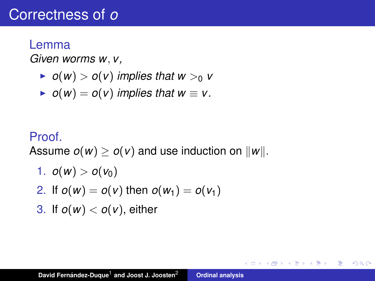#### Lemma

*Given worms w*, *v,*

- $\triangleright$  *o*(*w*)  $>$  *o*(*v*) *implies that w*  $>$ <sub>0</sub> *v*
- $\triangleright$  *o*(*w*) = *o*(*v*) *implies that w*  $\equiv$  *v*.

#### Proof.

Assume  $o(w) \ge o(v)$  and use induction on  $||w||$ .

- 1.  $o(w) > o(v_0)$
- 2. If  $o(w) = o(v)$  then  $o(w_1) = o(v_1)$
- 3. If  $o(w) < o(v)$ , either

K ロ ▶ K @ ▶ K 할 ▶ K 할 ▶ ( 할 ) - 이익어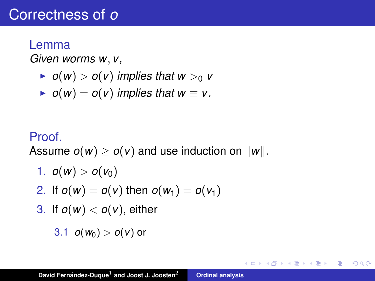#### Lemma

*Given worms w*, *v,*

- $\triangleright$  *o*(*w*)  $>$  *o*(*v*) *implies that w*  $>$ <sub>0</sub> *v*
- $\triangleright$  *o*(*w*) = *o*(*v*) *implies that w*  $\equiv$  *v*.

### Proof.

Assume  $o(w) \ge o(v)$  and use induction on  $||w||$ .

- 1.  $o(w) > o(v_0)$
- 2. If  $o(w) = o(v)$  then  $o(w_1) = o(v_1)$
- 3. If  $o(w) < o(v)$ , either

$$
3.1 \quad o(w_0) > o(v) \text{ or}
$$

K ロ ▶ K @ ▶ K 할 ▶ K 할 ▶ ( 할 ) - 이익어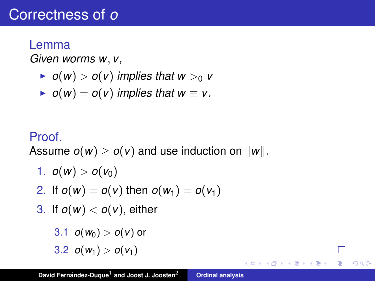#### Lemma

*Given worms w*, *v,*

- $\triangleright$  *o*(*w*)  $>$  *o*(*v*) *implies that w*  $>$ <sub>0</sub> *v*
- $\triangleright$  *o*(*w*) = *o*(*v*) *implies that w*  $\equiv$  *v*.

## Proof.

Assume  $o(w) \ge o(v)$  and use induction on  $||w||$ .

- 1.  $o(w) > o(v_0)$
- 2. If  $o(w) = o(v)$  then  $o(w_1) = o(v_1)$
- 3. If  $o(w) < o(v)$ , either

3.1 
$$
o(w_0) > o(v)
$$
 or  
3.2  $o(w_1) > o(v_1)$ 

K ロ ▶ K 御 ▶ K 唐 ▶ K 唐 ▶ .

 $299$ ÷.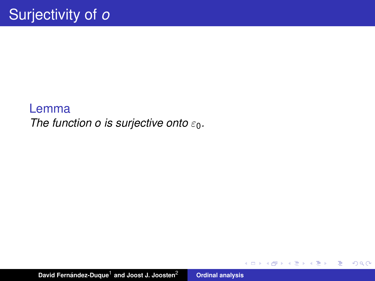## Lemma *The function o is surjective onto*  $ε_0$ .

イロメ イ部メ イヨメ イヨメー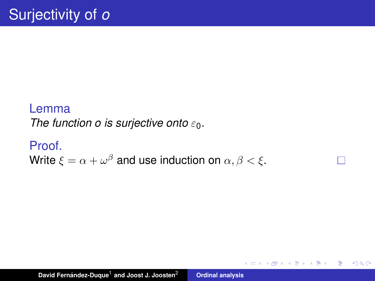## Lemma *The function o is surjective onto*  $ε_0$ .

## Proof. Write  $\xi=\alpha+\omega^\beta$  and use induction on  $\alpha,\beta<\xi.$

イロメ イ部メ イヨメ イヨメー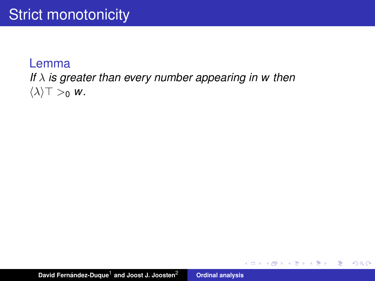## *If* λ *is greater than every number appearing in w then*  $\langle \lambda \rangle$   $\top >_0$  *w*.

David Fernández-Duque<sup>1</sup> and Joost J. Joosten<sup>2</sup> **[Ordinal analysis](#page-0-0)** 

イロメ イ団メ イヨメ イヨメー

■  $2990$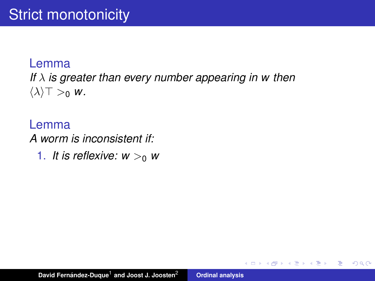*If* λ *is greater than every number appearing in w then*  $\langle \lambda \rangle$   $\top >_0 w$ .

Lemma *A worm is inconsistent if:*

1. It is reflexive:  $w > 0$  w

(ロトス個) (運) (運)

 $299$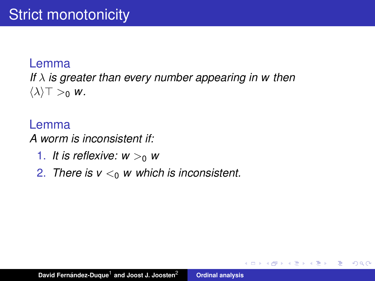*If* λ *is greater than every number appearing in w then*  $\langle \lambda \rangle$   $\top >_0 w$ .

## Lemma *A worm is inconsistent if:*

- 1. It is reflexive:  $w > 0$  w
- 2. *There is*  $v <_0 w$  *which is inconsistent.*

(ロ) (個) (目) (言)

重  $2Q$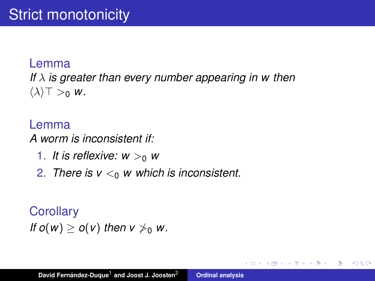*If* λ *is greater than every number appearing in w then*  $\langle \lambda \rangle$   $\top >_0 w$ .

### Lemma *A worm is inconsistent if:*

- 1. It is reflexive:  $w > 0$  w
- 2. There is  $v <_0 w$  which is inconsistent.

## **Corollary**

*If*  $o(w) > o(v)$  *then*  $v \nless 0$  *w.* 

K ロ ▶ K 御 ▶ K 唐 ▶ K 唐 ▶ ..

重  $2Q$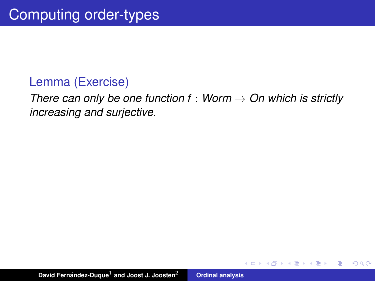## Lemma (Exercise)

*There can only be one function f* : *Worm* → *On which is strictly increasing and surjective.*

(ロトス個) (運) (運)

 $299$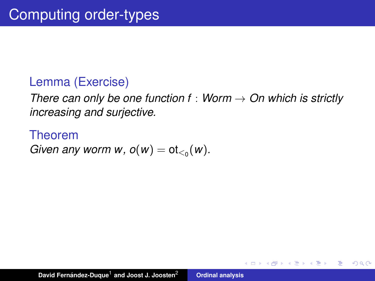## Lemma (Exercise)

*There can only be one function f* : *Worm* → *On which is strictly increasing and surjective.*

(ロトス個) (運) (運)

重

 $2Q$ 

Theorem *Given any worm w,*  $o(w) = ot_{\leq 0}(w)$ *.*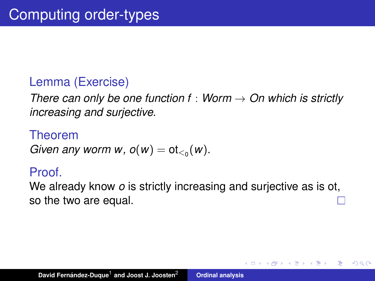## Lemma (Exercise)

*There can only be one function f* : *Worm* → *On which is strictly increasing and surjective.*

## Theorem

*Given any worm w,*  $o(w) = ot_{\leq 0}(w)$ *.* 

## Proof.

We already know *o* is strictly increasing and surjective as is ot, so the two are equal.

(ロトス個) (運) (運)

Þ  $2Q$